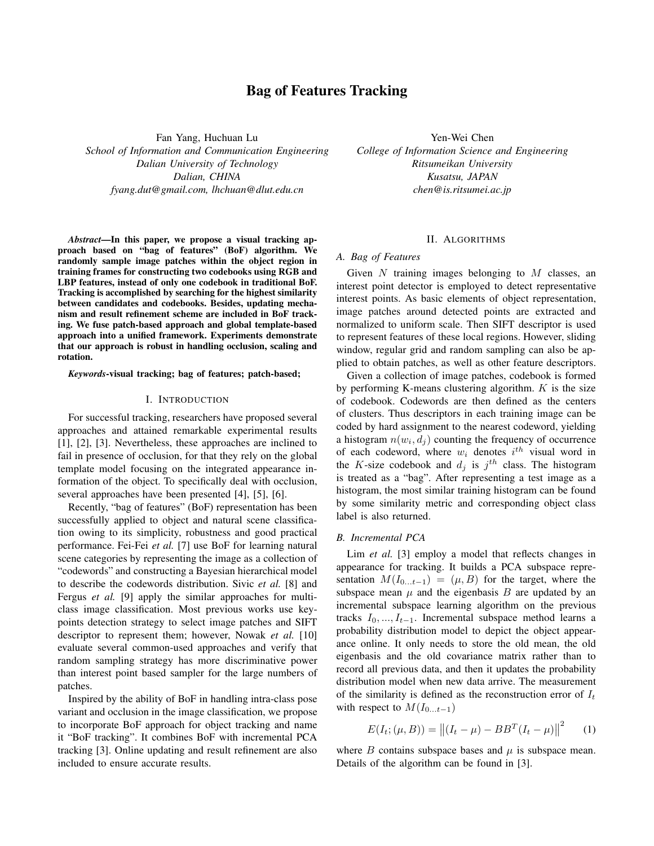# **Bag of Features Tracking**

Fan Yang, Huchuan Lu *School of Information and Communication Engineering Dalian University of Technology Dalian, CHINA fyang.dut@gmail.com, lhchuan@dlut.edu.cn*

*Abstract***—In this paper, we propose a visual tracking approach based on "bag of features" (BoF) algorithm. We randomly sample image patches within the object region in training frames for constructing two codebooks using RGB and LBP features, instead of only one codebook in traditional BoF. Tracking is accomplished by searching for the highest similarity between candidates and codebooks. Besides, updating mechanism and result refinement scheme are included in BoF tracking. We fuse patch-based approach and global template-based approach into a unified framework. Experiments demonstrate that our approach is robust in handling occlusion, scaling and rotation.**

*Keywords***-visual tracking; bag of features; patch-based;**

#### I. INTRODUCTION

For successful tracking, researchers have proposed several approaches and attained remarkable experimental results [1], [2], [3]. Nevertheless, these approaches are inclined to fail in presence of occlusion, for that they rely on the global template model focusing on the integrated appearance information of the object. To specifically deal with occlusion, several approaches have been presented [4], [5], [6].

Recently, "bag of features" (BoF) representation has been successfully applied to object and natural scene classification owing to its simplicity, robustness and good practical performance. Fei-Fei *et al.* [7] use BoF for learning natural scene categories by representing the image as a collection of "codewords" and constructing a Bayesian hierarchical model to describe the codewords distribution. Sivic *et al.* [8] and Fergus *et al.* [9] apply the similar approaches for multiclass image classification. Most previous works use keypoints detection strategy to select image patches and SIFT descriptor to represent them; however, Nowak *et al.* [10] evaluate several common-used approaches and verify that random sampling strategy has more discriminative power than interest point based sampler for the large numbers of patches.

Inspired by the ability of BoF in handling intra-class pose variant and occlusion in the image classification, we propose to incorporate BoF approach for object tracking and name it "BoF tracking". It combines BoF with incremental PCA tracking [3]. Online updating and result refinement are also included to ensure accurate results.

Yen-Wei Chen *College of Information Science and Engineering Ritsumeikan University Kusatsu, JAPAN chen@is.ritsumei.ac.jp*

### II. ALGORITHMS

## *A. Bag of Features*

Given N training images belonging to  $M$  classes, an interest point detector is employed to detect representative interest points. As basic elements of object representation, image patches around detected points are extracted and normalized to uniform scale. Then SIFT descriptor is used to represent features of these local regions. However, sliding window, regular grid and random sampling can also be applied to obtain patches, as well as other feature descriptors.

Given a collection of image patches, codebook is formed by performing K-means clustering algorithm.  $K$  is the size of codebook. Codewords are then defined as the centers of clusters. Thus descriptors in each training image can be coded by hard assignment to the nearest codeword, yielding a histogram  $n(w_i, d_j)$  counting the frequency of occurrence of each codeword, where  $w_i$  denotes  $i^{th}$  visual word in the K-size codebook and  $d_j$  is  $j^{th}$  class. The histogram is treated as a "bag". After representing a test image as a histogram, the most similar training histogram can be found by some similarity metric and corresponding object class label is also returned.

### *B. Incremental PCA*

Lim *et al.* [3] employ a model that reflects changes in appearance for tracking. It builds a PCA subspace representation  $M(I_{0...t-1}) = (\mu, B)$  for the target, where the subspace mean  $\mu$  and the eigenbasis  $B$  are updated by an incremental subspace learning algorithm on the previous tracks  $I_0, ..., I_{t-1}$ . Incremental subspace method learns a probability distribution model to depict the object appearance online. It only needs to store the old mean, the old eigenbasis and the old covariance matrix rather than to record all previous data, and then it updates the probability distribution model when new data arrive. The measurement of the similarity is defined as the reconstruction error of  $I_t$ with respect to  $M(I_{0...t-1})$ 

$$
E(I_t; (\mu, B)) = ||(I_t - \mu) - BB^T(I_t - \mu)||^2 \qquad (1)
$$

where  $B$  contains subspace bases and  $\mu$  is subspace mean. Details of the algorithm can be found in [3].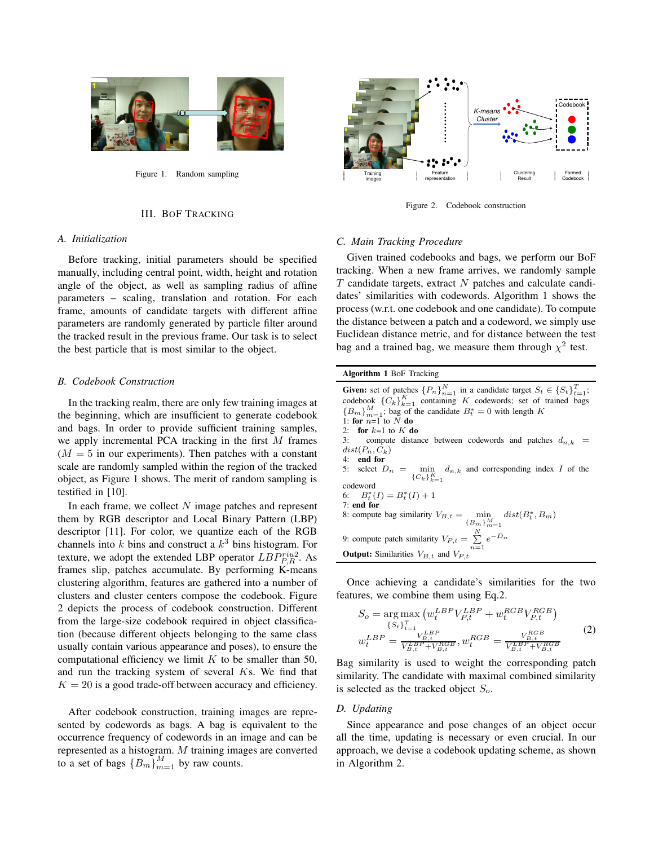

Figure 1. Random sampling

### III. BOF TRACKING

### *A. Initialization*

Before tracking, initial parameters should be specified manually, including central point, width, height and rotation angle of the object, as well as sampling radius of affine parameters – scaling, translation and rotation. For each frame, amounts of candidate targets with different affine parameters are randomly generated by particle filter around the tracked result in the previous frame. Our task is to select the best particle that is most similar to the object.

### *B. Codebook Construction*

In the tracking realm, there are only few training images at the beginning, which are insufficient to generate codebook and bags. In order to provide sufficient training samples, we apply incremental PCA tracking in the first M frames  $(M = 5$  in our experiments). Then patches with a constant scale are randomly sampled within the region of the tracked object, as Figure 1 shows. The merit of random sampling is testified in [10].

In each frame, we collect  $N$  image patches and represent them by RGB descriptor and Local Binary Pattern (LBP) descriptor [11]. For color, we quantize each of the RGB channels into  $k$  bins and construct a  $k^3$  bins histogram. For texture, we adopt the extended LBP operator  $LBP_{P,R}^{riu2}$ . As frames slip, patches accumulate. By performing K-means clustering algorithm, features are gathered into a number of clusters and cluster centers compose the codebook. Figure 2 depicts the process of codebook construction. Different from the large-size codebook required in object classification (because different objects belonging to the same class usually contain various appearance and poses), to ensure the computational efficiency we limit  $K$  to be smaller than 50, and run the tracking system of several Ks. We find that  $K = 20$  is a good trade-off between accuracy and efficiency.

After codebook construction, training images are represented by codewords as bags. A bag is equivalent to the occurrence frequency of codewords in an image and can be represented as a histogram. M training images are converted to a set of bags  ${B_m}_{m=1}^M$  by raw counts.



Figure 2. Codebook construction

#### *C. Main Tracking Procedure*

Given trained codebooks and bags, we perform our BoF tracking. When a new frame arrives, we randomly sample  $T$  candidate targets, extract  $N$  patches and calculate candidates' similarities with codewords. Algorithm 1 shows the process (w.r.t. one codebook and one candidate). To compute the distance between a patch and a codeword, we simply use Euclidean distance metric, and for distance between the test bag and a trained bag, we measure them through  $\chi^2$  test.

# **Algorithm 1** BoF Tracking

**Given:** set of patches  ${P_n}_{n=1}^N$  in a candidate target  $S_t \in {S_t}_{t=1}^T$ ; codebook  ${C_k}_{k=1}^K$  containing K codewords; set of trained bags  ${B_m}_{m=1}^M$ ; bag of the candidate  $B_t^* = 0$  with length K 1: **for**  $n=1$  to N **do** 2: **for**  $k=1$  to  $K$  **do**<br>3: compute distant compute distance between codewords and patches  $d_{n,k}$  =  $dist(P_n, C_k)$ <br>4: **end for** 4: **end for** 5: select  $D_n = \min_{\{C_k\}_{k=1}^K} d_{n,k}$  and corresponding index I of the codeword 6:  $B_t^*(I) = B_t^*(I) + 1$ 7: **end for** 8: compute bag similarity  $V_{B,t} = \min_{\{B_m\}_{m=1}^M}$  $dist(B_t^*,B_m)$ 9: compute patch similarity  $V_{P,t} = \sum_{n=1}^{N} e^{-D_n}$ **Output:** Similarities  $V_{B,t}$  and  $V_{P,t}$ 

Once achieving a candidate's similarities for the two features, we combine them using Eq.2.

$$
S_o = \arg \max_{\{S_t\}_{t=1}^T} (w_t^{LBP} V_{P,t}^{LBP} + w_t^{RGB} V_{P,t}^{RGB})
$$
  
\n
$$
w_t^{LBP} = \frac{V_{B,t}^{LBP}}{V_{B,t}^{LBP} + V_{B,t}^{RGB}}, w_t^{RGB} = \frac{V_{B,t}^{RGB}}{V_{B,t}^{LBP} + V_{B,t}^{RGB}}
$$
 (2)

Bag similarity is used to weight the corresponding patch similarity. The candidate with maximal combined similarity is selected as the tracked object  $S<sub>o</sub>$ .

### *D. Updating*

Since appearance and pose changes of an object occur all the time, updating is necessary or even crucial. In our approach, we devise a codebook updating scheme, as shown in Algorithm 2.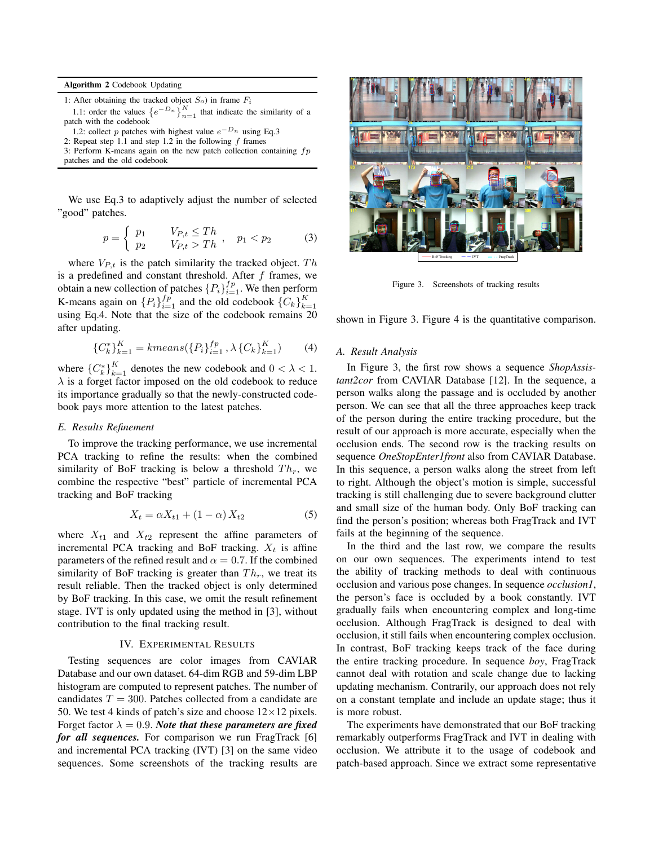**Algorithm 2** Codebook Updating

1: After obtaining the tracked object  $S_o$ ) in frame  $F_i$ 

1.1: order the values  $\left\{e^{-D_n}\right\}_{n=1}^N$  that indicate the similarity of a patch with the codebook

```
1.2: collect p patches with highest value e^{-D_n} using Eq.3
```
2: Repeat step 1.1 and step 1.2 in the following  $f$  frames

3: Perform K-means again on the new patch collection containing  $fp$ patches and the old codebook

We use Eq.3 to adaptively adjust the number of selected "good" patches.

$$
p = \begin{cases} p_1 & V_{P,t} \le Th \\ p_2 & V_{P,t} > Th \end{cases}, \quad p_1 < p_2 \tag{3}
$$

where  $V_{P,t}$  is the patch similarity the tracked object.  $Th$ is a predefined and constant threshold. After  $f$  frames, we obtain a new collection of patches  $\{P_i\}_{i=1}^{fp}$ . We then perform K-means again on  $\{P_i\}_{i=1}^{fp}$  and the old codebook  $\{C_k\}_{k=1}^K$ using Eq.4. Note that the size of the codebook remains 20 after updating.

$$
{C_k^*}^K_{k=1} = kmeans({P_i}^f_{i=1}^f, \lambda {C_k}^K_{k=1}^K)
$$
 (4)

where  ${C_k^*}_{k=1}^K$  denotes the new codebook and  $0 < \lambda < 1$ .  $\lambda$  is a forget factor imposed on the old codebook to reduce its importance gradually so that the newly-constructed codebook pays more attention to the latest patches.

## *E. Results Refinement*

To improve the tracking performance, we use incremental PCA tracking to refine the results: when the combined similarity of BoF tracking is below a threshold  $Th_r$ , we combine the respective "best" particle of incremental PCA tracking and BoF tracking

$$
X_t = \alpha X_{t1} + (1 - \alpha) X_{t2} \tag{5}
$$

where  $X_{t1}$  and  $X_{t2}$  represent the affine parameters of incremental PCA tracking and BoF tracking.  $X_t$  is affine parameters of the refined result and  $\alpha = 0.7$ . If the combined similarity of BoF tracking is greater than  $Th_r$ , we treat its result reliable. Then the tracked object is only determined by BoF tracking. In this case, we omit the result refinement stage. IVT is only updated using the method in [3], without contribution to the final tracking result.

### IV. EXPERIMENTAL RESULTS

Testing sequences are color images from CAVIAR Database and our own dataset. 64-dim RGB and 59-dim LBP histogram are computed to represent patches. The number of candidates  $T = 300$ . Patches collected from a candidate are 50. We test 4 kinds of patch's size and choose  $12\times12$  pixels. Forget factor  $\lambda = 0.9$ . *Note that these parameters are fixed for all sequences.* For comparison we run FragTrack [6] and incremental PCA tracking (IVT) [3] on the same video sequences. Some screenshots of the tracking results are



 $B \circ F$  Tracking  $\longrightarrow IVT \longrightarrow I$  FragTrack

Figure 3. Screenshots of tracking results

shown in Figure 3. Figure 4 is the quantitative comparison.

### *A. Result Analysis*

In Figure 3, the first row shows a sequence *ShopAssistant2cor* from CAVIAR Database [12]. In the sequence, a person walks along the passage and is occluded by another person. We can see that all the three approaches keep track of the person during the entire tracking procedure, but the result of our approach is more accurate, especially when the occlusion ends. The second row is the tracking results on sequence *OneStopEnter1front* also from CAVIAR Database. In this sequence, a person walks along the street from left to right. Although the object's motion is simple, successful tracking is still challenging due to severe background clutter and small size of the human body. Only BoF tracking can find the person's position; whereas both FragTrack and IVT fails at the beginning of the sequence.

In the third and the last row, we compare the results on our own sequences. The experiments intend to test the ability of tracking methods to deal with continuous occlusion and various pose changes. In sequence *occlusion1*, the person's face is occluded by a book constantly. IVT gradually fails when encountering complex and long-time occlusion. Although FragTrack is designed to deal with occlusion, it still fails when encountering complex occlusion. In contrast, BoF tracking keeps track of the face during the entire tracking procedure. In sequence *boy*, FragTrack cannot deal with rotation and scale change due to lacking updating mechanism. Contrarily, our approach does not rely on a constant template and include an update stage; thus it is more robust.

The experiments have demonstrated that our BoF tracking remarkably outperforms FragTrack and IVT in dealing with occlusion. We attribute it to the usage of codebook and patch-based approach. Since we extract some representative